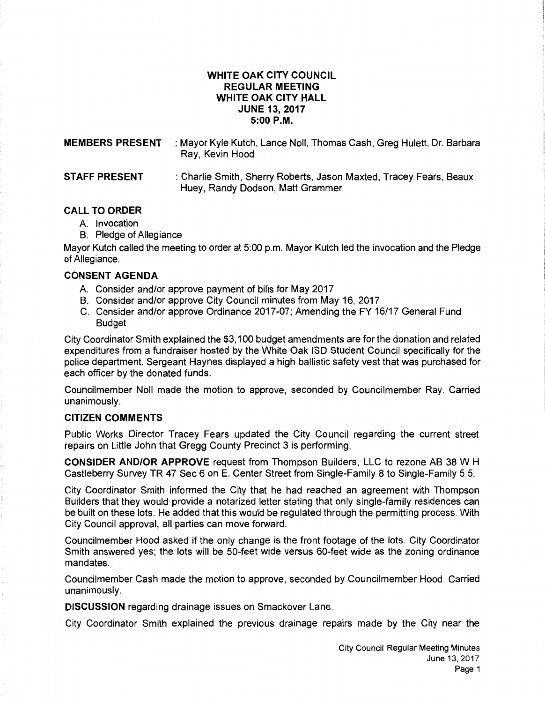## **WHITE OAK CITY COUNCIL REGULAR MEETING WHITE OAK CITY HALL JUNE 13, 2017 5:00P.M.**

**MEMBERS PRESENT** : Mayor Kyle Kutch, Lance Noll, Thomas Cash, Greg Hulett, Dr. Barbara Ray, Kevin Hood

## **STAFF PRESENT** : Charlie Smith, Sherry Roberts, Jason Maxted, Tracey Fears, Beaux Huey, Randy Dodson, Matt Grammer

## **CALL TO ORDER**

- A. Invocation
- B. Pledge of Allegiance

Mayor Kutch called the meeting to order at 5:00 p.m. Mayor Kutch led the invocation and the Pledge of Allegiance.

### **CONSENT AGENDA**

- A. Consider and/or approve payment of bills for May 2017
- B. Consider and/or approve City Council minutes from May 16, 2017
- C. Consider and/or approve Ordinance 2017-07; Amending the FY 16/17 General Fund Budget

City Coordinator Smith explained the \$3,100 budget amendments are for the donation and related expenditures from a fundraiser hosted by the White Oak lSD Student Council specifically for the police department. Sergeant Haynes displayed a high ballistic safety vest that was purchased for each officer by the donated funds.

Councilmember Noll made the motion to approve, seconded by Councilmember Ray. Carried unanimously.

#### **CITIZEN COMMENTS**

Public Works Director Tracey Fears updated the City Council regarding the current street repairs on Little John that Gregg County Precinct 3 is performing.

**CONSIDER AND/OR APPROVE** request from Thompson Builders, LLC to rezone AB 38 W H Castleberry Survey TR 47 Sec 6 on E. Center Street from Single-Family 8 to Single-Family 5.5.

City Coordinator Smith informed the City that he had reached an agreement with Thompson Builders that they would provide a notarized letter stating that only single-family residences can be built on these lots. He added that this would be regulated through the permitting process. With City Council approval, all parties can move forward.

Councilmember Hood asked if the only change is the front footage of the lots. City Coordinator Smith answered yes; the lots will be 50-feet wide versus 60-feet wide as the zoning ordinance mandates.

Councilmember Cash made the motion to approve, seconded by Councilmember Hood. Carried unanimously.

**DISCUSSION** regarding drainage issues on Smackover Lane.

City Coordinator Smith explained the previous drainage repairs made by the City near the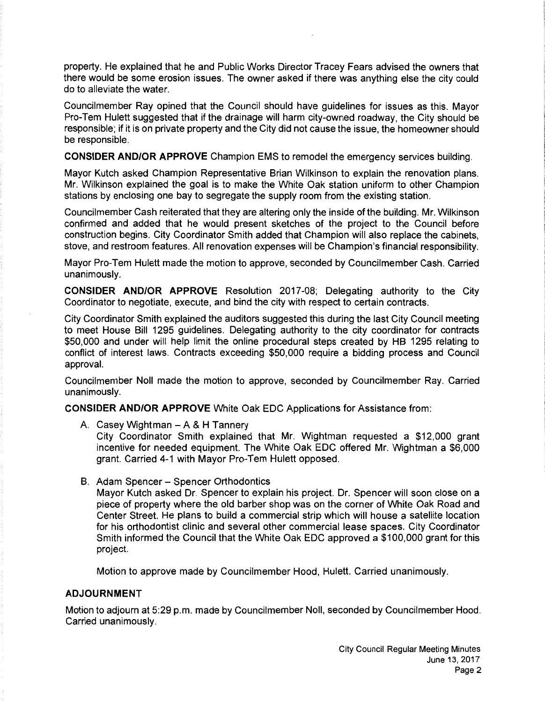property. He explained that he and Public Works Director Tracey Fears advised the owners that there would be some erosion issues. The owner asked if there was anything else the city could do to alleviate the water.

Councilmember Ray opined that the Council should have guidelines for issues as this. Mayor Pro-Tem Hulett suggested that if the drainage will harm city-owned roadway, the City should be responsible; if it is on private property and the City did not cause the issue, the homeowner should be responsible.

**CONSIDER AND/OR APPROVE** Champion EMS to remodel the emergency services building.

Mayor Kutch asked Champion Representative Brian Wilkinson to explain the renovation plans. Mr. Wilkinson explained the goal is to make the White Oak station uniform to other Champion stations by enclosing one bay to segregate the supply room from the existing station.

Council member Cash reiterated that they are altering only the inside of the building. Mr. Wilkinson confirmed and added that he would present sketches of the project to the Council before construction begins. City Coordinator Smith added that Champion will also replace the cabinets, stove, and restroom features. All renovation expenses will be Champion's financial responsibility.

Mayor Pro-Tem Hulett made the motion to approve, seconded by Councilmember Cash. Carried unanimously.

**CONSIDER AND/OR APPROVE** Resolution 2017-08; Delegating authority to the City Coordinator to negotiate, execute, and bind the city with respect to certain contracts.

City Coordinator Smith explained the auditors suggested this during the last City Council meeting to meet House Bill 1295 guidelines. Delegating authority to the city coordinator for contracts \$50,000 and under will help limit the online procedural steps created by HB 1295 relating to conflict of interest laws. Contracts exceeding \$50,000 require a bidding process and Council approval.

Councilmember Noll made the motion to approve, seconded by Councilmember Ray. Carried unanimously.

**CONSIDER AND/OR APPROVE** White Oak EDC Applications for Assistance from:

A. Casey Wightman  $- A 8 H$  Tannery

City Coordinator Smith explained that Mr. Wightman requested a \$12,000 grant incentive for needed equipment. The White Oak EDC offered Mr. Wightman a \$6,000 grant. Carried 4-1 with Mayor Pro-Tem Hulett opposed.

B. Adam Spencer - Spencer Orthodontics

Mayor Kutch asked Dr. Spencer to explain his project. Dr. Spencer will soon close on a piece of property where the old barber shop was on the corner of White Oak Road and Center Street. He plans to build a commercial strip which will house a satellite location for his orthodontist clinic and several other commercial lease spaces. City Coordinator Smith informed the Council that the White Oak EDC approved a \$100,000 grant for this project.

Motion to approve made by Councilmember Hood, Hulett. Carried unanimously.

# **ADJOURNMENT**

Motion to adjourn at 5:29 p.m. made by Councilmember Noll, seconded by Councilmember Hood. Carried unanimously.